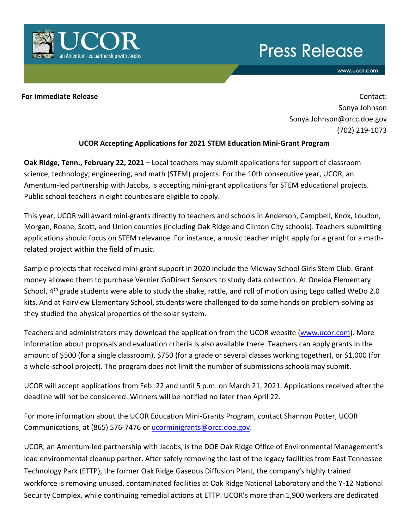

## **Press Release**

www.ucor.com

**For Immediate Release and Contact: For Immediate Release Contact: Contact: Contact: Contact: Contact: Contact: Contact: Contact: Contact: Contact: Contact: Contact: Contact: Contact: Contac** Sonya Johnson Sonya.Johnson@orcc.doe.gov (702) 219-1073

## **UCOR Accepting Applications for 2021 STEM Education Mini-Grant Program**

**Oak Ridge, Tenn., February 22, 2021 –** Local teachers may submit applications for support of classroom science, technology, engineering, and math (STEM) projects. For the 10th consecutive year, UCOR, an Amentum-led partnership with Jacobs, is accepting mini-grant applications for STEM educational projects. Public school teachers in eight counties are eligible to apply.

This year, UCOR will award mini-grants directly to teachers and schools in Anderson, Campbell, Knox, Loudon, Morgan, Roane, Scott, and Union counties (including Oak Ridge and Clinton City schools). Teachers submitting applications should focus on STEM relevance. For instance, a music teacher might apply for a grant for a mathrelated project within the field of music.

Sample projects that received mini-grant support in 2020 include the Midway School Girls Stem Club. Grant money allowed them to purchase Vernier GoDirect Sensors to study data collection. At Oneida Elementary School, 4<sup>th</sup> grade students were able to study the shake, rattle, and roll of motion using Lego called WeDo 2.0 kits. And at Fairview Elementary School, students were challenged to do some hands on problem-solving as they studied the physical properties of the solar system.

Teachers and administrators may download the application from the UCOR website [\(www.ucor.com\)](http://www.ucor.com/). More information about proposals and evaluation criteria is also available there. Teachers can apply grants in the amount of \$500 (for a single classroom), \$750 (for a grade or several classes working together), or \$1,000 (for a whole-school project). The program does not limit the number of submissions schools may submit.

UCOR will accept applications from Feb. 22 and until 5 p.m. on March 21, 2021. Applications received after the deadline will not be considered. Winners will be notified no later than April 22.

For more information about the UCOR Education Mini-Grants Program, contact Shannon Potter, UCOR Communications, at (865) 576-7476 or [ucorminigrants@orcc.doe.gov.](mailto:ucorminigrants@orcc.doe.gov)

UCOR, an Amentum-led partnership with Jacobs, is the DOE Oak Ridge Office of Environmental Management's lead environmental cleanup partner. After safely removing the last of the legacy facilities from East Tennessee Technology Park (ETTP), the former Oak Ridge Gaseous Diffusion Plant, the company's highly trained workforce is removing unused, contaminated facilities at Oak Ridge National Laboratory and the Y-12 National Security Complex, while continuing remedial actions at ETTP. UCOR's more than 1,900 workers are dedicated